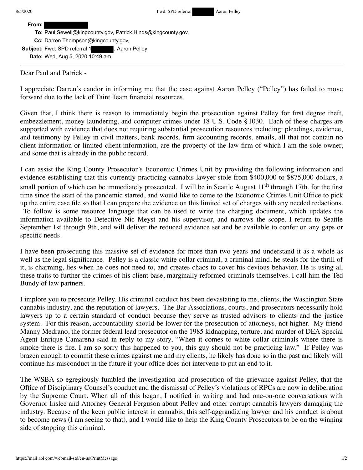**From:**

| <b>To:</b> Paul.Sewell@kingcounty.gov, Patrick.Hinds@kingcounty.gov, |  |
|----------------------------------------------------------------------|--|
| Cc: Darren. Thompson@kingcounty.gov,                                 |  |

**Subject:** Fwd: SPD referral 1 , Aaron Pelley **Date:** Wed, Aug 5, 2020 10:49 am

Dear Paul and Patrick -

I appreciate Darren's candor in informing me that the case against Aaron Pelley ("Pelley") has failed to move forward due to the lack of Taint Team financial resources.

Given that, I think there is reason to immediately begin the prosecution against Pelley for first degree theft, embezzlement, money laundering, and computer crimes under 18 U.S. Code § 1030. Each of these charges are supported with evidence that does not requiring substantial prosecution resources including: pleadings, evidence, and testimony by Pelley in civil matters, bank records, firm accounting records, emails, all that not contain no client information or limited client information, are the property of the law firm of which I am the sole owner, and some that is already in the public record.

I can assist the King County Prosecutor's Economic Crimes Unit by providing the following information and evidence establishing that this currently practicing cannabis lawyer stole from \$400,000 to \$875,000 dollars, a small portion of which can be immediately prosecuted. I will be in Seattle August  $11<sup>th</sup>$  through 17th, for the first time since the start of the pandemic started, and would like to come to the Economic Crimes Unit Office to pick up the entire case file so that I can prepare the evidence on this limited set of charges with any needed redactions. To follow is some resource language that can be used to write the charging document, which updates the information available to Detective Nic Meyst and his supervisor, and narrows the scope. I return to Seattle September 1st through 9th, and will deliver the reduced evidence set and be available to confer on any gaps or specific needs.

I have been prosecuting this massive set of evidence for more than two years and understand it as a whole as well as the legal significance. Pelley is a classic white collar criminal, a criminal mind, he steals for the thrill of it, is charming, lies when he does not need to, and creates chaos to cover his devious behavior. He is using all these traits to further the crimes of his client base, marginally reformed criminals themselves. I call him the Ted Bundy of law partners.

I implore you to prosecute Pelley. His criminal conduct has been devastating to me, clients, the Washington State cannabis industry, and the reputation of lawyers. The Bar Associations, courts, and prosecutors necessarily hold lawyers up to a certain standard of conduct because they serve as trusted advisors to clients and the justice system. For this reason, accountability should be lower for the prosecution of attorneys, not higher. My friend Manny Medrano, the former federal lead prosecutor on the 1985 kidnapping, torture, and murder of DEA Special Agent Enrique Camarena said in reply to my story, "When it comes to white collar criminals where there is smoke there is fire. I am so sorry this happened to you, this guy should not be practicing law." If Pelley was brazen enough to commit these crimes against me and my clients, he likely has done so in the past and likely will continue his misconduct in the future if your office does not intervene to put an end to it.

The WSBA so egregiously fumbled the investigation and prosecution of the grievance against Pelley, that the Office of Disciplinary Counsel's conduct and the dismissal of Pelley's violations of RPCs are now in deliberation by the Supreme Court. When all of this began, I notified in writing and had one-on-one conversations with Governor Inslee and Attorney General Ferguson about Pelley and other corrupt cannabis lawyers damaging the industry. Because of the keen public interest in cannabis, this self-aggrandizing lawyer and his conduct is about to become news (I am seeing to that), and I would like to help the King County Prosecutors to be on the winning side of stopping this criminal.